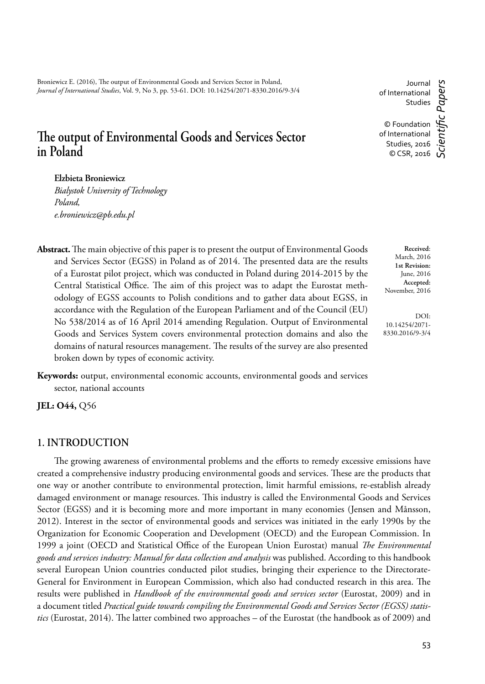Broniewicz E. (2016), The output of Environmental Goods and Services Sector in Poland, *Journal of International Studies*, Vol. 9, No 3, pp. 53-61. DOI: 10.14254/2071-8330.2016/9-3/4

# The output of Environmental Goods and Services Sector **in Poland**

## **Elzbieta Broniewicz**

*Bialystok University of Technology Poland, e.broniewicz@pb.edu.pl*

Abstract. The main objective of this paper is to present the output of Environmental Goods and Services Sector (EGSS) in Poland as of 2014. The presented data are the results of a Eurostat pilot project, which was conducted in Poland during 2014-2015 by the Central Statistical Office. The aim of this project was to adapt the Eurostat methodology of EGSS accounts to Polish conditions and to gather data about EGSS, in accordance with the Regulation of the European Parliament and of the Council (EU) No 538/2014 as of 16 April 2014 amending Regulation. Output of Environmental Goods and Services System covers environmental protection domains and also the domains of natural resources management. The results of the survey are also presented broken down by types of economic activity.

**Keywords:** output, environmental economic accounts, environmental goods and services sector, national accounts

**JEL: O44,** Q56

### **1. INTRODUCTION**

The growing awareness of environmental problems and the efforts to remedy excessive emissions have created a comprehensive industry producing environmental goods and services. These are the products that one way or another contribute to environmental protection, limit harmful emissions, re-establish already damaged environment or manage resources. This industry is called the Environmental Goods and Services Sector (EGSS) and it is becoming more and more important in many economies (Jensen and Månsson, 2012). Interest in the sector of environmental goods and services was initiated in the early 1990s by the Organization for Economic Cooperation and Development (OECD) and the European Commission. In 1999 a joint (OECD and Statistical Office of the European Union Eurostat) manual *The Environmental goods and services industry: Manual for data collection and analysis* was published. According to this handbook several European Union countries conducted pilot studies, bringing their experience to the Directorate-General for Environment in European Commission, which also had conducted research in this area. The results were published in *Handbook of the environmental goods and services sector* (Eurostat, 2009) and in a document titled *Practical guide towards compiling the Environmental Goods and Services Sector (EGSS) statistics* (Eurostat, 2014). The latter combined two approaches – of the Eurostat (the handbook as of 2009) and

Journal of International Studies © Foundation of International *Scientifi c Papers*

© CSR, 2016

**Received**: March, 2016 **1st Revision:** June, 2016 **Accepted:** November, 2016

DOI: 10.14254/2071- 8330.2016/9-3/4

Studies, 2016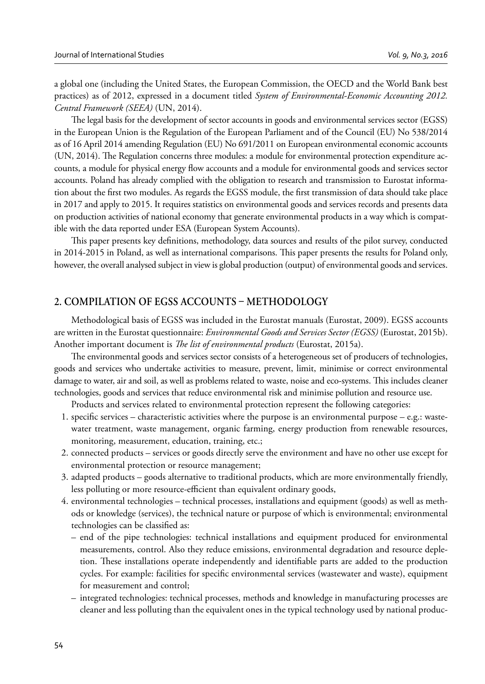a global one (including the United States, the European Commission, the OECD and the World Bank best practices) as of 2012, expressed in a document titled *System of Environmental-Economic Accounting 2012. Central Framework (SEEA)* (UN, 2014).

The legal basis for the development of sector accounts in goods and environmental services sector (EGSS) in the European Union is the Regulation of the European Parliament and of the Council (EU) No 538/2014 as of 16 April 2014 amending Regulation (EU) No 691/2011 on European environmental economic accounts (UN, 2014). The Regulation concerns three modules: a module for environmental protection expenditure accounts, a module for physical energy flow accounts and a module for environmental goods and services sector accounts. Poland has already complied with the obligation to research and transmission to Eurostat information about the first two modules. As regards the EGSS module, the first transmission of data should take place in 2017 and apply to 2015. It requires statistics on environmental goods and services records and presents data on production activities of national economy that generate environmental products in a way which is compatible with the data reported under ESA (European System Accounts).

This paper presents key definitions, methodology, data sources and results of the pilot survey, conducted in 2014-2015 in Poland, as well as international comparisons. This paper presents the results for Poland only, however, the overall analysed subject in view is global production (output) of environmental goods and services.

## **2. COMPILATION OF EGSS ACCOUNTS - METHODOLOGY**

Methodological basis of EGSS was included in the Eurostat manuals (Eurostat, 2009). EGSS accounts are written in the Eurostat questionnaire: *Environmental Goods and Services Sector (EGSS)* (Eurostat, 2015b). Another important document is *The list of environmental products* (Eurostat, 2015a).

The environmental goods and services sector consists of a heterogeneous set of producers of technologies, goods and services who undertake activities to measure, prevent, limit, minimise or correct environmental damage to water, air and soil, as well as problems related to waste, noise and eco-systems. This includes cleaner technologies, goods and services that reduce environmental risk and minimise pollution and resource use.

Products and services related to environmental protection represent the following categories:

- 1. specific services characteristic activities where the purpose is an environmental purpose e.g.: wastewater treatment, waste management, organic farming, energy production from renewable resources, monitoring, measurement, education, training, etc.;
- 2. connected products services or goods directly serve the environment and have no other use except for environmental protection or resource management;
- 3. adapted products goods alternative to traditional products, which are more environmentally friendly, less polluting or more resource-efficient than equivalent ordinary goods,
- 4. environmental technologies technical processes, installations and equipment (goods) as well as methods or knowledge (services), the technical nature or purpose of which is environmental; environmental technologies can be classified as:
	- end of the pipe technologies: technical installations and equipment produced for environmental measurements, control. Also they reduce emissions, environmental degradation and resource depletion. These installations operate independently and identifiable parts are added to the production cycles. For example: facilities for specific environmental services (wastewater and waste), equipment for measurement and control;
	- integrated technologies: technical processes, methods and knowledge in manufacturing processes are cleaner and less polluting than the equivalent ones in the typical technology used by national produc-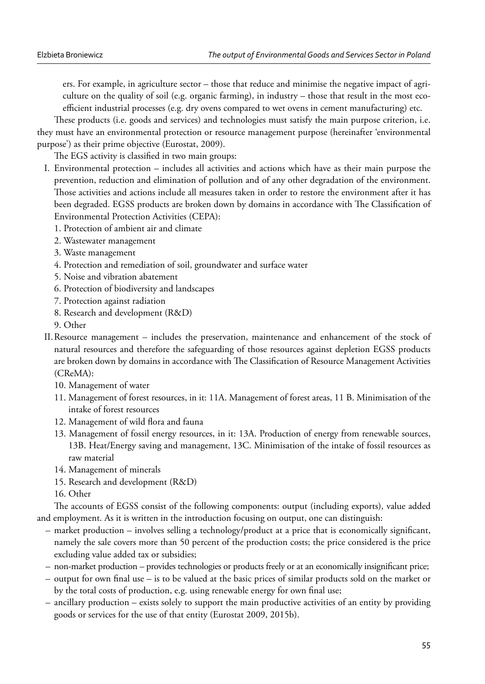ers. For example, in agriculture sector – those that reduce and minimise the negative impact of agriculture on the quality of soil (e.g. organic farming), in industry – those that result in the most ecoefficient industrial processes (e.g. dry ovens compared to wet ovens in cement manufacturing) etc.

These products (i.e. goods and services) and technologies must satisfy the main purpose criterion, i.e. they must have an environmental protection or resource management purpose (hereinafter 'environmental purpose') as their prime objective (Eurostat, 2009).

The EGS activity is classified in two main groups:

- I. Environmental protection includes all activities and actions which have as their main purpose the prevention, reduction and elimination of pollution and of any other degradation of the environment. Those activities and actions include all measures taken in order to restore the environment after it has been degraded. EGSS products are broken down by domains in accordance with The Classification of Environmental Protection Activities (CEPA):
	- 1. Protection of ambient air and climate
	- 2. Wastewater management
	- 3. Waste management
	- 4. Protection and remediation of soil, groundwater and surface water
	- 5. Noise and vibration abatement
	- 6. Protection of biodiversity and landscapes
	- 7. Protection against radiation
	- 8. Research and development (R&D)
	- 9. Other
- II. Resource management includes the preservation, maintenance and enhancement of the stock of natural resources and therefore the safeguarding of those resources against depletion EGSS products are broken down by domains in accordance with The Classification of Resource Management Activities (CReMA):
	- 10. Management of water
	- 11. Management of forest resources, in it: 11A. Management of forest areas, 11 B. Minimisation of the intake of forest resources
	- 12. Management of wild flora and fauna
	- 13. Management of fossil energy resources, in it: 13A. Production of energy from renewable sources, 13B. Heat/Energy saving and management, 13C. Minimisation of the intake of fossil resources as raw material
	- 14. Management of minerals
	- 15. Research and development (R&D)
	- 16. Other

The accounts of EGSS consist of the following components: output (including exports), value added and employment. As it is written in the introduction focusing on output, one can distinguish:

- market production involves selling a technology/product at a price that is economically significant, namely the sale covers more than 50 percent of the production costs; the price considered is the price excluding value added tax or subsidies;
- non-market production provides technologies or products freely or at an economically insignificant price;
- output for own final use is to be valued at the basic prices of similar products sold on the market or by the total costs of production, e.g. using renewable energy for own final use;
- ancillary production exists solely to support the main productive activities of an entity by providing goods or services for the use of that entity (Eurostat 2009, 2015b).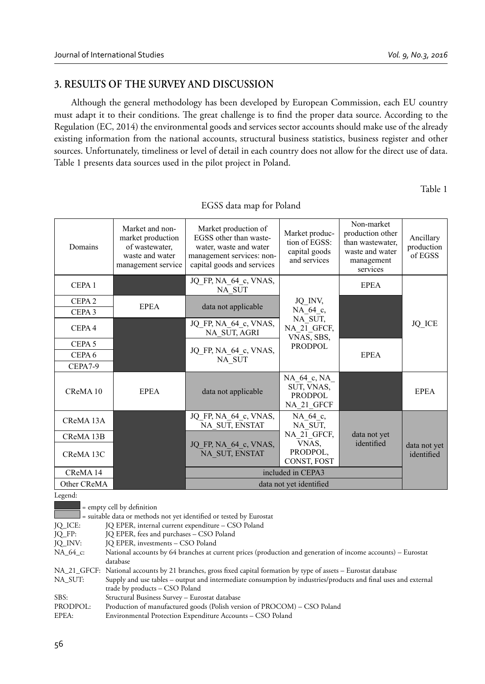## **3. RESULTS OF THE SURVEY AND DISCUSSION**

Although the general methodology has been developed by European Commission, each EU country must adapt it to their conditions. The great challenge is to find the proper data source. According to the Regulation (EC, 2014) the environmental goods and services sector accounts should make use of the already existing information from the national accounts, structural business statistics, business register and other sources. Unfortunately, timeliness or level of detail in each country does not allow for the direct use of data. Table 1 presents data sources used in the pilot project in Poland.

Table 1

| Domains                      | Market and non-<br>market production<br>of wastewater.<br>waste and water<br>management service | Market production of<br>EGSS other than waste-<br>water, waste and water<br>management services: non-<br>capital goods and services | Market produc-<br>tion of EGSS:<br>capital goods<br>and services | Non-market<br>production other<br>than wastewater.<br>waste and water<br>management<br>services | Ancillary<br>production<br>of EGSS |  |
|------------------------------|-------------------------------------------------------------------------------------------------|-------------------------------------------------------------------------------------------------------------------------------------|------------------------------------------------------------------|-------------------------------------------------------------------------------------------------|------------------------------------|--|
| CEPA <sub>1</sub>            |                                                                                                 | JQ FP, NA 64 c, VNAS,<br>NA SUT                                                                                                     |                                                                  | <b>EPEA</b>                                                                                     |                                    |  |
| CEPA <sub>2</sub>            | <b>EPEA</b>                                                                                     |                                                                                                                                     | JQ_INV,                                                          |                                                                                                 |                                    |  |
| CEPA <sub>3</sub>            |                                                                                                 | data not applicable                                                                                                                 | NA 64 c,                                                         |                                                                                                 | <b>JQ ICE</b>                      |  |
| CEPA <sub>4</sub>            |                                                                                                 | JQ FP, NA 64 c, VNAS,<br>NA SUT, AGRI                                                                                               | NA SUT,<br>NA 21 GFCF,<br>VNAS, SBS,                             |                                                                                                 |                                    |  |
| CEPA <sub>5</sub>            |                                                                                                 |                                                                                                                                     | <b>PRODPOL</b>                                                   |                                                                                                 |                                    |  |
| CEPA <sub>6</sub>            |                                                                                                 | JQ FP, NA 64 c, VNAS,<br>NA SUT                                                                                                     |                                                                  | <b>EPEA</b>                                                                                     |                                    |  |
| CEPA7-9                      |                                                                                                 |                                                                                                                                     |                                                                  |                                                                                                 |                                    |  |
| CReMA <sub>10</sub>          | <b>EPEA</b>                                                                                     | data not applicable                                                                                                                 | NA 64 c, NA<br>SUT, VNAS,<br><b>PRODPOL</b><br>NA 21 GFCF        |                                                                                                 | <b>EPEA</b>                        |  |
| CReMA <sub>13</sub> A        |                                                                                                 | JQ FP, NA 64 c, VNAS,<br>NA SUT, ENSTAT                                                                                             | NA 64 c.<br>NA SUT.                                              |                                                                                                 |                                    |  |
| CReMA 13B                    |                                                                                                 |                                                                                                                                     | NA 21 GFCF.                                                      | data not yet                                                                                    |                                    |  |
| CReMA 13C                    |                                                                                                 | JQ FP, NA 64 c, VNAS,<br>NA SUT, ENSTAT                                                                                             | VNAS,<br>PRODPOL,<br>CONST, FOST                                 | identified                                                                                      | data not yet<br>identified         |  |
| CReMA <sub>14</sub>          |                                                                                                 | included in CEPA3                                                                                                                   |                                                                  |                                                                                                 |                                    |  |
| Other CReMA                  |                                                                                                 | data not yet identified                                                                                                             |                                                                  |                                                                                                 |                                    |  |
| Legend:                      |                                                                                                 |                                                                                                                                     |                                                                  |                                                                                                 |                                    |  |
| $=$ empty cell by definition |                                                                                                 |                                                                                                                                     |                                                                  |                                                                                                 |                                    |  |

EGSS data map for Poland

= empty cell by definition

|          | = suitable data or methods not yet identified or tested by Eurostat                                               |
|----------|-------------------------------------------------------------------------------------------------------------------|
| JQ_ICE:  | JQ EPER, internal current expenditure – CSO Poland                                                                |
| IO FP:   | JQ EPER, fees and purchases - CSO Poland                                                                          |
| JQ_INV:  | JO EPER, investments - CSO Poland                                                                                 |
| NA 64 c: | National accounts by 64 branches at current prices (production and generation of income accounts) – Eurostat      |
|          | database                                                                                                          |
|          | NA_21_GFCF: National accounts by 21 branches, gross fixed capital formation by type of assets – Eurostat database |
| NA SUT:  | Supply and use tables – output and intermediate consumption by industries/products and final uses and external    |
|          | trade by products – CSO Poland                                                                                    |
| SBS:     | Structural Business Survey - Eurostat database                                                                    |
| PRODPOL: | Production of manufactured goods (Polish version of PROCOM) – CSO Poland                                          |
| EPEA:    | Environmental Protection Expenditure Accounts - CSO Poland                                                        |
|          |                                                                                                                   |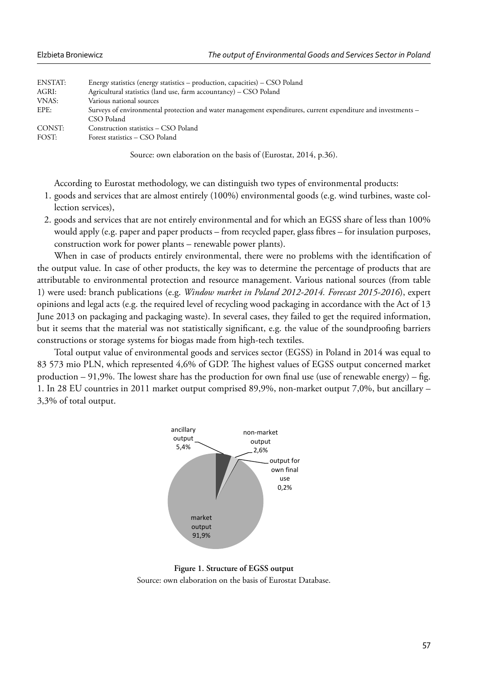| ENSTAT: | Energy statistics (energy statistics – production, capacities) – CSO Poland                                                |
|---------|----------------------------------------------------------------------------------------------------------------------------|
| AGRI:   | Agricultural statistics (land use, farm accountancy) – CSO Poland                                                          |
| VNAS:   | Various national sources                                                                                                   |
| EPE:    | Surveys of environmental protection and water management expenditures, current expenditure and investments -<br>CSO Poland |
| CONST:  | Construction statistics – CSO Poland                                                                                       |
| FOST:   | Forest statistics – CSO Poland                                                                                             |

Source: own elaboration on the basis of (Eurostat, 2014, p.36).

According to Eurostat methodology, we can distinguish two types of environmental products:

- 1. goods and services that are almost entirely (100%) environmental goods (e.g. wind turbines, waste collection services),
- 2. goods and services that are not entirely environmental and for which an EGSS share of less than 100% would apply (e.g. paper and paper products – from recycled paper, glass fibres – for insulation purposes, construction work for power plants – renewable power plants).

When in case of products entirely environmental, there were no problems with the identification of the output value. In case of other products, the key was to determine the percentage of products that are attributable to environmental protection and resource management. Various national sources (from table 1) were used: branch publications (e.g. *Window market in Poland 2012-2014. Forecast 2015-2016*), expert opinions and legal acts (e.g. the required level of recycling wood packaging in accordance with the Act of 13 June 2013 on packaging and packaging waste). In several cases, they failed to get the required information, but it seems that the material was not statistically significant, e.g. the value of the soundproofing barriers constructions or storage systems for biogas made from high-tech textiles.

Total output value of environmental goods and services sector (EGSS) in Poland in 2014 was equal to 83 573 mio PLN, which represented 4,6% of GDP. The highest values of EGSS output concerned market production  $-91,9%$ . The lowest share has the production for own final use (use of renewable energy) – fig. 1. In 28 EU countries in 2011 market output comprised 89,9%, non-market output 7,0%, but ancillary – 3,3% of total output.



**Figure 1. Structure of EGSS output**

Source: own elaboration on the basis of Eurostat Database.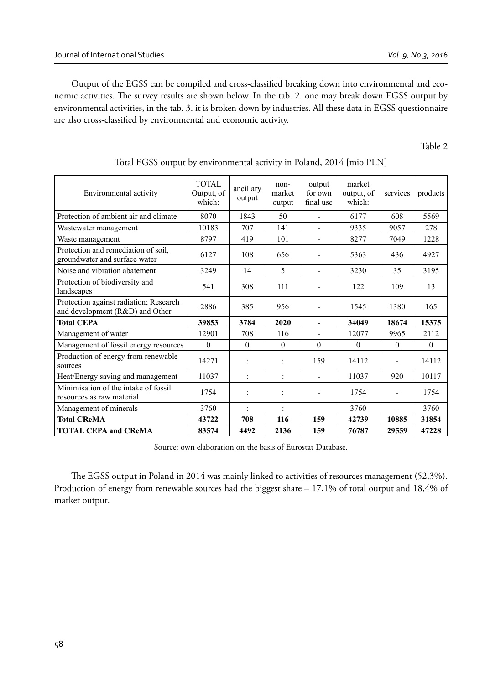Output of the EGSS can be compiled and cross-classified breaking down into environmental and economic activities. The survey results are shown below. In the tab. 2. one may break down EGSS output by environmental activities, in the tab. 3. it is broken down by industries. All these data in EGSS questionnaire are also cross-classified by environmental and economic activity.

Table 2

| Environmental activity                                                    | <b>TOTAL</b><br>Output, of<br>which: | ancillary<br>output  | non-<br>market<br>output | output<br>for own<br>final use | market<br>output, of<br>which: | services | products |
|---------------------------------------------------------------------------|--------------------------------------|----------------------|--------------------------|--------------------------------|--------------------------------|----------|----------|
| Protection of ambient air and climate                                     | 8070                                 | 1843                 | 50                       |                                | 6177                           | 608      | 5569     |
| Wastewater management                                                     | 10183                                | 707                  | 141                      |                                | 9335                           | 9057     | 278      |
| Waste management                                                          | 8797                                 | 419                  | 101                      | ۰                              | 8277                           | 7049     | 1228     |
| Protection and remediation of soil,<br>groundwater and surface water      | 6127                                 | 108                  | 656                      |                                | 5363                           | 436      | 4927     |
| Noise and vibration abatement                                             | 3249                                 | 14                   | 5                        | ÷                              | 3230                           | 35       | 3195     |
| Protection of biodiversity and<br>landscapes                              | 541                                  | 308                  | 111                      |                                | 122                            | 109      | 13       |
| Protection against radiation; Research<br>and development (R&D) and Other | 2886                                 | 385                  | 956                      |                                | 1545                           | 1380     | 165      |
| <b>Total CEPA</b>                                                         | 39853                                | 3784                 | 2020                     |                                | 34049                          | 18674    | 15375    |
| Management of water                                                       | 12901                                | 708                  | 116                      | $\blacksquare$                 | 12077                          | 9965     | 2112     |
| Management of fossil energy resources                                     | $\Omega$                             | $\Omega$             | $\Omega$                 | 0                              | 0                              | $\theta$ | $\Omega$ |
| Production of energy from renewable<br>sources                            | 14271                                | t                    | $\ddot{\cdot}$           | 159                            | 14112                          |          | 14112    |
| Heat/Energy saving and management                                         | 11037                                | ÷                    | ÷                        |                                | 11037                          | 920      | 10117    |
| Minimisation of the intake of fossil<br>resources as raw material         | 1754                                 | $\ddot{\phantom{a}}$ |                          |                                | 1754                           |          | 1754     |
| Management of minerals                                                    | 3760                                 | $\ddot{\phantom{0}}$ | $\ddot{\phantom{a}}$     | $\blacksquare$                 | 3760                           | ÷.       | 3760     |
| <b>Total CReMA</b>                                                        | 43722                                | 708                  | 116                      | 159                            | 42739                          | 10885    | 31854    |
| <b>TOTAL CEPA and CReMA</b>                                               | 83574                                | 4492                 | 2136                     | 159                            | 76787                          | 29559    | 47228    |

## Total EGSS output by environmental activity in Poland, 2014 [mio PLN]

Source: own elaboration on the basis of Eurostat Database.

The EGSS output in Poland in 2014 was mainly linked to activities of resources management (52,3%). Production of energy from renewable sources had the biggest share – 17,1% of total output and 18,4% of market output.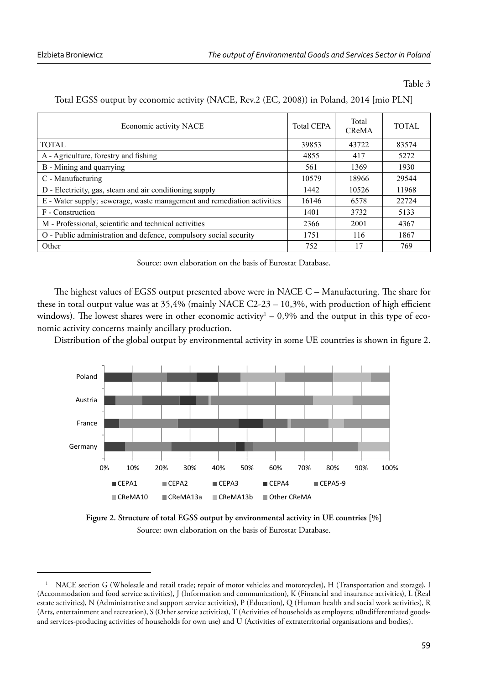Table 3

| Economic activity NACE                                                  | <b>Total CEPA</b> | Total<br><b>CReMA</b> | TOTAL |
|-------------------------------------------------------------------------|-------------------|-----------------------|-------|
| TOTAL                                                                   | 39853             | 43722                 | 83574 |
| A - Agriculture, forestry and fishing                                   | 4855              | 417                   | 5272  |
| B - Mining and quarrying                                                | 561               | 1369                  | 1930  |
| C - Manufacturing                                                       | 10579             | 18966                 | 29544 |
| D - Electricity, gas, steam and air conditioning supply                 | 1442              | 10526                 | 11968 |
| E - Water supply; sewerage, waste management and remediation activities | 16146             | 6578                  | 22724 |
| F - Construction                                                        | 1401              | 3732                  | 5133  |
| M - Professional, scientific and technical activities                   | 2366              | 2001                  | 4367  |
| O - Public administration and defence, compulsory social security       | 1751              | 116                   | 1867  |
| Other                                                                   | 752               | 17                    | 769   |

#### Total EGSS output by economic activity (NACE, Rev.2 (EC, 2008)) in Poland, 2014 [mio PLN]

Source: own elaboration on the basis of Eurostat Database.

The highest values of EGSS output presented above were in NACE C – Manufacturing. The share for these in total output value was at  $35,4\%$  (mainly NACE C2-23 – 10,3%, with production of high efficient windows). The lowest shares were in other economic activity<sup>1</sup> – 0,9% and the output in this type of economic activity concerns mainly ancillary production.

Distribution of the global output by environmental activity in some UE countries is shown in figure 2.



**Figure 2. Structure of total EGSS output by environmental activity in UE countries [%]** Source: own elaboration on the basis of Eurostat Database.

<sup>1</sup> NACE section G (Wholesale and retail trade; repair of motor vehicles and motorcycles), H (Transportation and storage), I (Accommodation and food service activities), J (Information and communication), K (Financial and insurance activities), L (Real estate activities), N (Administrative and support service activities), P (Education), Q (Human health and social work activities), R (Arts, entertainment and recreation), S (Other service activities), T (Activities of households as employers; u0ndifferentiated goodsand services-producing activities of households for own use) and U (Activities of extraterritorial organisations and bodies).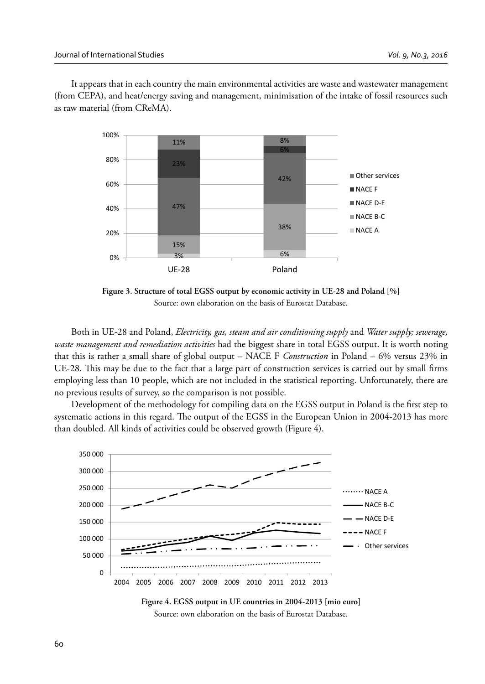It appears that in each country the main environmental activities are waste and wastewater management (from CEPA), and heat/energy saving and management, minimisation of the intake of fossil resources such as raw material (from CReMA).



**Figure 3. Structure of total EGSS output by economic activity in UE-28 and Poland [%]** Source: own elaboration on the basis of Eurostat Database.

Both in UE-28 and Poland, *Electricity, gas, steam and air conditioning supply* and *Water supply; sewerage, waste management and remediation activities* had the biggest share in total EGSS output. It is worth noting that this is rather a small share of global output – NACE F *Construction* in Poland – 6% versus 23% in UE-28. This may be due to the fact that a large part of construction services is carried out by small firms employing less than 10 people, which are not included in the statistical reporting. Unfortunately, there are no previous results of survey, so the comparison is not possible.

Development of the methodology for compiling data on the EGSS output in Poland is the first step to systematic actions in this regard. The output of the EGSS in the European Union in 2004-2013 has more than doubled. All kinds of activities could be observed growth (Figure 4).